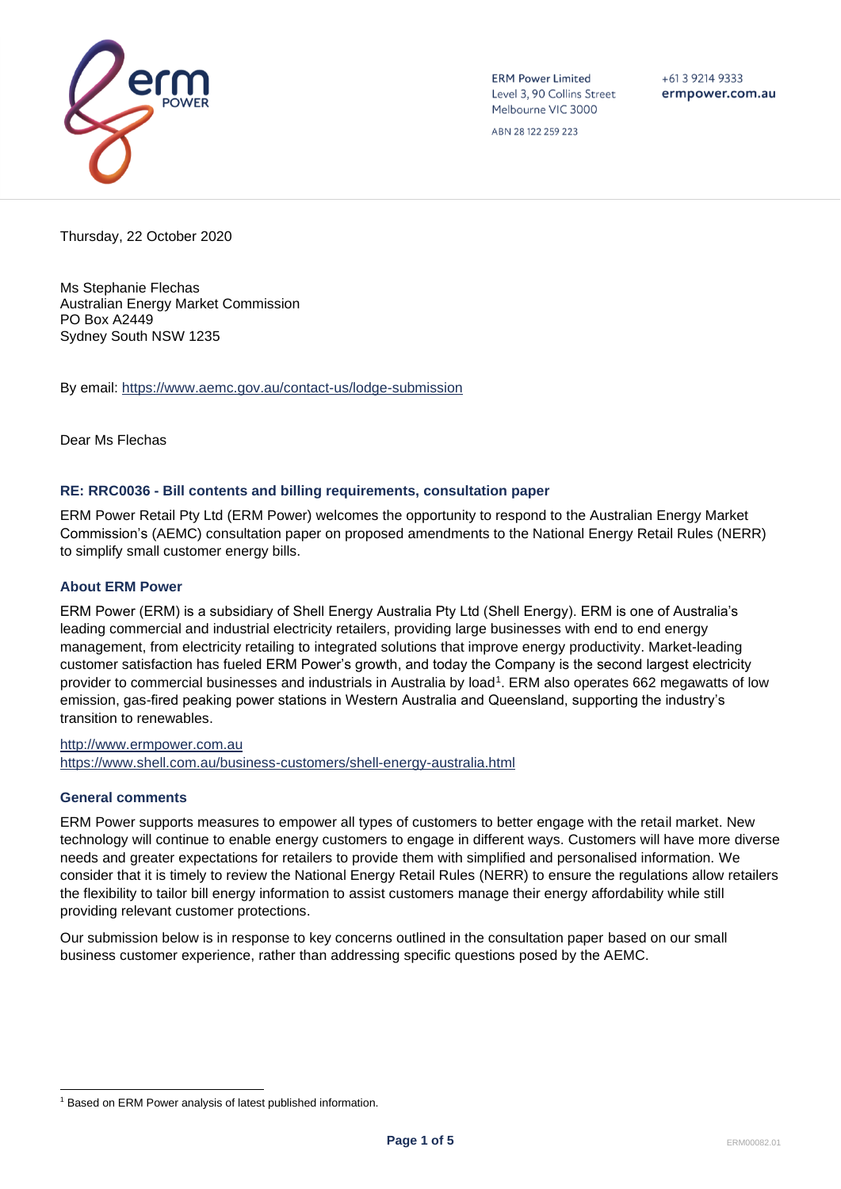

**ERM Power Limited** Level 3, 90 Collins Street Melbourne VIC 3000

 $+61$  3 9214 9333 ermpower.com.au

ABN 28 122 259 223

Thursday, 22 October 2020

Ms Stephanie Flechas Australian Energy Market Commission PO Box A2449 Sydney South NSW 1235

By email:<https://www.aemc.gov.au/contact-us/lodge-submission>

Dear Ms Flechas

### **RE: RRC0036 - Bill contents and billing requirements, consultation paper**

ERM Power Retail Pty Ltd (ERM Power) welcomes the opportunity to respond to the Australian Energy Market Commission's (AEMC) consultation paper on proposed amendments to the National Energy Retail Rules (NERR) to simplify small customer energy bills.

## **About ERM Power**

ERM Power (ERM) is a subsidiary of Shell Energy Australia Pty Ltd (Shell Energy). ERM is one of Australia's leading commercial and industrial electricity retailers, providing large businesses with end to end energy management, from electricity retailing to integrated solutions that improve energy productivity. Market-leading customer satisfaction has fueled ERM Power's growth, and today the Company is the second largest electricity provider to commercial businesses and industrials in Australia by load<sup>1</sup>. ERM also operates 662 megawatts of low emission, gas-fired peaking power stations in Western Australia and Queensland, supporting the industry's transition to renewables.

[http://www.ermpower.com.au](http://www.ermpower.com.au/) <https://www.shell.com.au/business-customers/shell-energy-australia.html>

## **General comments**

ERM Power supports measures to empower all types of customers to better engage with the retail market. New technology will continue to enable energy customers to engage in different ways. Customers will have more diverse needs and greater expectations for retailers to provide them with simplified and personalised information. We consider that it is timely to review the National Energy Retail Rules (NERR) to ensure the regulations allow retailers the flexibility to tailor bill energy information to assist customers manage their energy affordability while still providing relevant customer protections.

Our submission below is in response to key concerns outlined in the consultation paper based on our small business customer experience, rather than addressing specific questions posed by the AEMC.

<sup>&</sup>lt;sup>1</sup> Based on ERM Power analysis of latest published information.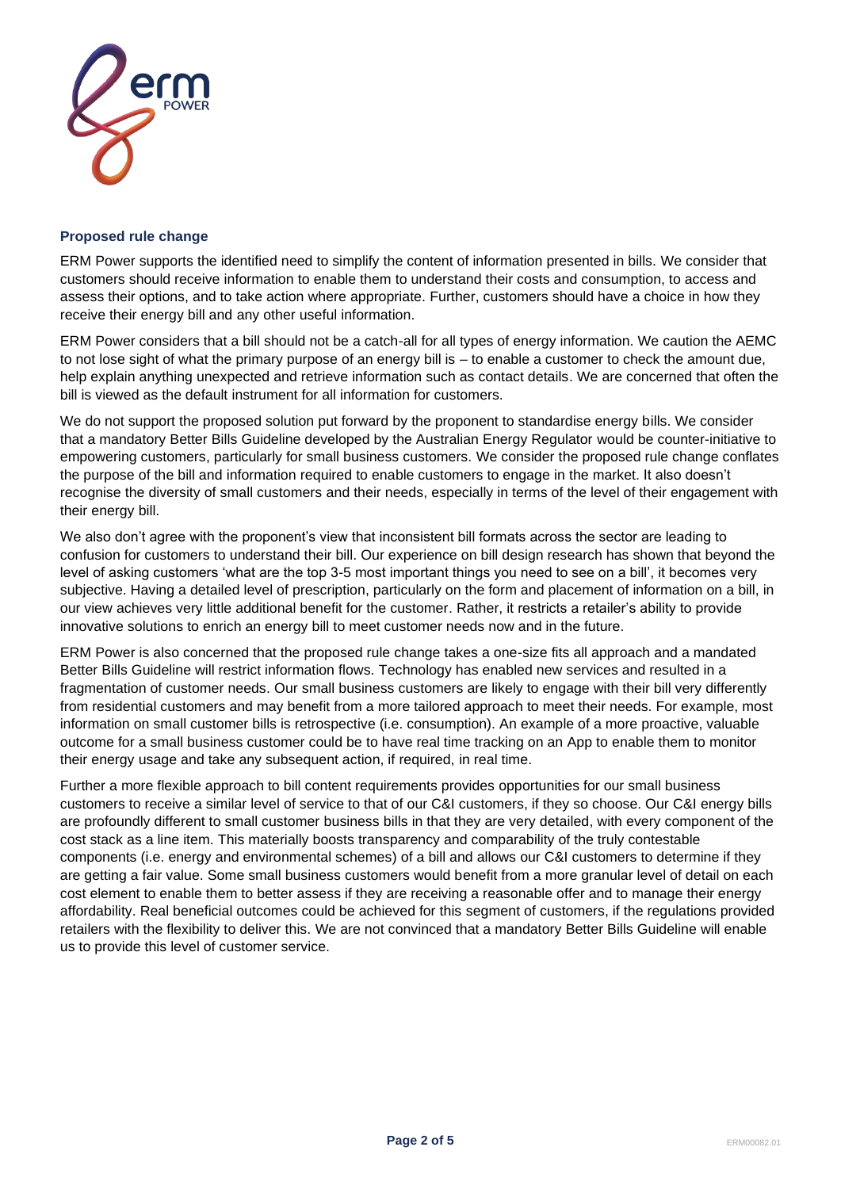

#### **Proposed rule change**

ERM Power supports the identified need to simplify the content of information presented in bills. We consider that customers should receive information to enable them to understand their costs and consumption, to access and assess their options, and to take action where appropriate. Further, customers should have a choice in how they receive their energy bill and any other useful information.

ERM Power considers that a bill should not be a catch-all for all types of energy information. We caution the AEMC to not lose sight of what the primary purpose of an energy bill is – to enable a customer to check the amount due, help explain anything unexpected and retrieve information such as contact details. We are concerned that often the bill is viewed as the default instrument for all information for customers.

We do not support the proposed solution put forward by the proponent to standardise energy bills. We consider that a mandatory Better Bills Guideline developed by the Australian Energy Regulator would be counter-initiative to empowering customers, particularly for small business customers. We consider the proposed rule change conflates the purpose of the bill and information required to enable customers to engage in the market. It also doesn't recognise the diversity of small customers and their needs, especially in terms of the level of their engagement with their energy bill.

We also don't agree with the proponent's view that inconsistent bill formats across the sector are leading to confusion for customers to understand their bill. Our experience on bill design research has shown that beyond the level of asking customers 'what are the top 3-5 most important things you need to see on a bill', it becomes very subjective. Having a detailed level of prescription, particularly on the form and placement of information on a bill, in our view achieves very little additional benefit for the customer. Rather, it restricts a retailer's ability to provide innovative solutions to enrich an energy bill to meet customer needs now and in the future.

ERM Power is also concerned that the proposed rule change takes a one-size fits all approach and a mandated Better Bills Guideline will restrict information flows. Technology has enabled new services and resulted in a fragmentation of customer needs. Our small business customers are likely to engage with their bill very differently from residential customers and may benefit from a more tailored approach to meet their needs. For example, most information on small customer bills is retrospective (i.e. consumption). An example of a more proactive, valuable outcome for a small business customer could be to have real time tracking on an App to enable them to monitor their energy usage and take any subsequent action, if required, in real time.

Further a more flexible approach to bill content requirements provides opportunities for our small business customers to receive a similar level of service to that of our C&I customers, if they so choose. Our C&I energy bills are profoundly different to small customer business bills in that they are very detailed, with every component of the cost stack as a line item. This materially boosts transparency and comparability of the truly contestable components (i.e. energy and environmental schemes) of a bill and allows our C&I customers to determine if they are getting a fair value. Some small business customers would benefit from a more granular level of detail on each cost element to enable them to better assess if they are receiving a reasonable offer and to manage their energy affordability. Real beneficial outcomes could be achieved for this segment of customers, if the regulations provided retailers with the flexibility to deliver this. We are not convinced that a mandatory Better Bills Guideline will enable us to provide this level of customer service.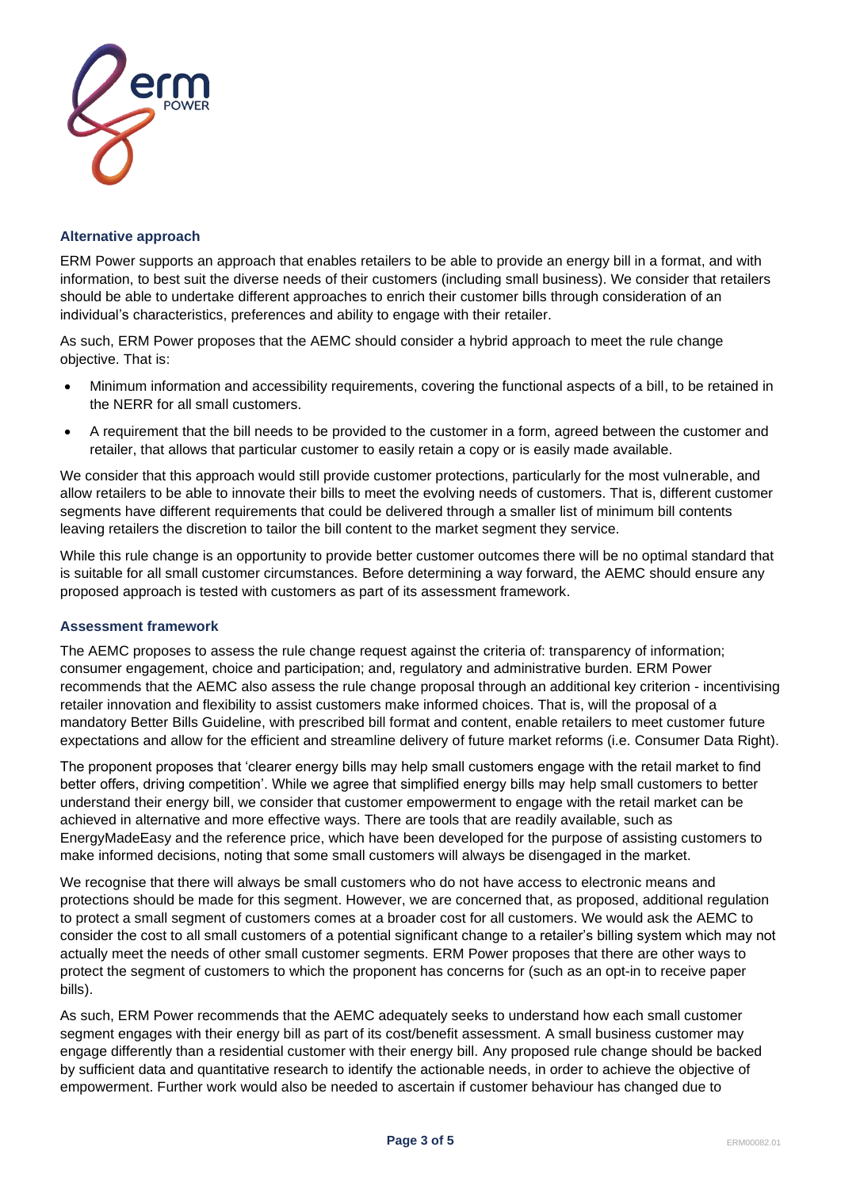

### **Alternative approach**

ERM Power supports an approach that enables retailers to be able to provide an energy bill in a format, and with information, to best suit the diverse needs of their customers (including small business). We consider that retailers should be able to undertake different approaches to enrich their customer bills through consideration of an individual's characteristics, preferences and ability to engage with their retailer.

As such, ERM Power proposes that the AEMC should consider a hybrid approach to meet the rule change objective. That is:

- Minimum information and accessibility requirements, covering the functional aspects of a bill, to be retained in the NERR for all small customers.
- A requirement that the bill needs to be provided to the customer in a form, agreed between the customer and retailer, that allows that particular customer to easily retain a copy or is easily made available.

We consider that this approach would still provide customer protections, particularly for the most vulnerable, and allow retailers to be able to innovate their bills to meet the evolving needs of customers. That is, different customer segments have different requirements that could be delivered through a smaller list of minimum bill contents leaving retailers the discretion to tailor the bill content to the market segment they service.

While this rule change is an opportunity to provide better customer outcomes there will be no optimal standard that is suitable for all small customer circumstances. Before determining a way forward, the AEMC should ensure any proposed approach is tested with customers as part of its assessment framework.

### **Assessment framework**

The AEMC proposes to assess the rule change request against the criteria of: transparency of information; consumer engagement, choice and participation; and, regulatory and administrative burden. ERM Power recommends that the AEMC also assess the rule change proposal through an additional key criterion - incentivising retailer innovation and flexibility to assist customers make informed choices. That is, will the proposal of a mandatory Better Bills Guideline, with prescribed bill format and content, enable retailers to meet customer future expectations and allow for the efficient and streamline delivery of future market reforms (i.e. Consumer Data Right).

The proponent proposes that 'clearer energy bills may help small customers engage with the retail market to find better offers, driving competition'. While we agree that simplified energy bills may help small customers to better understand their energy bill, we consider that customer empowerment to engage with the retail market can be achieved in alternative and more effective ways. There are tools that are readily available, such as EnergyMadeEasy and the reference price, which have been developed for the purpose of assisting customers to make informed decisions, noting that some small customers will always be disengaged in the market.

We recognise that there will always be small customers who do not have access to electronic means and protections should be made for this segment. However, we are concerned that, as proposed, additional regulation to protect a small segment of customers comes at a broader cost for all customers. We would ask the AEMC to consider the cost to all small customers of a potential significant change to a retailer's billing system which may not actually meet the needs of other small customer segments. ERM Power proposes that there are other ways to protect the segment of customers to which the proponent has concerns for (such as an opt-in to receive paper bills).

As such, ERM Power recommends that the AEMC adequately seeks to understand how each small customer segment engages with their energy bill as part of its cost/benefit assessment. A small business customer may engage differently than a residential customer with their energy bill. Any proposed rule change should be backed by sufficient data and quantitative research to identify the actionable needs, in order to achieve the objective of empowerment. Further work would also be needed to ascertain if customer behaviour has changed due to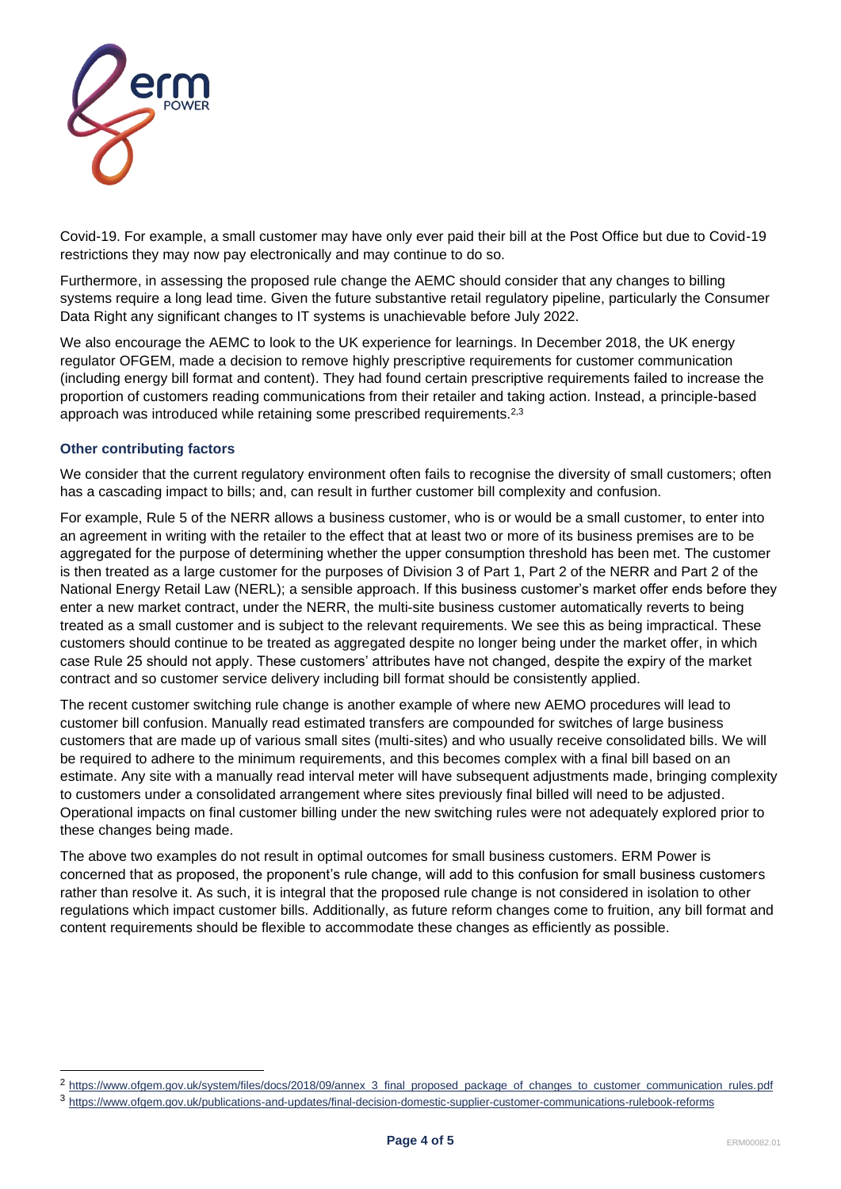

Covid-19. For example, a small customer may have only ever paid their bill at the Post Office but due to Covid-19 restrictions they may now pay electronically and may continue to do so.

Furthermore, in assessing the proposed rule change the AEMC should consider that any changes to billing systems require a long lead time. Given the future substantive retail regulatory pipeline, particularly the Consumer Data Right any significant changes to IT systems is unachievable before July 2022.

We also encourage the AEMC to look to the UK experience for learnings. In December 2018, the UK energy regulator OFGEM, made a decision to remove highly prescriptive requirements for customer communication (including energy bill format and content). They had found certain prescriptive requirements failed to increase the proportion of customers reading communications from their retailer and taking action. Instead, a principle-based approach was introduced while retaining some prescribed requirements.<sup>2,3</sup>

# **Other contributing factors**

We consider that the current regulatory environment often fails to recognise the diversity of small customers; often has a cascading impact to bills; and, can result in further customer bill complexity and confusion.

For example, Rule 5 of the NERR allows a business customer, who is or would be a small customer, to enter into an agreement in writing with the retailer to the effect that at least two or more of its business premises are to be aggregated for the purpose of determining whether the upper consumption threshold has been met. The customer is then treated as a large customer for the purposes of Division 3 of Part 1, Part 2 of the NERR and Part 2 of the National Energy Retail Law (NERL); a sensible approach. If this business customer's market offer ends before they enter a new market contract, under the NERR, the multi-site business customer automatically reverts to being treated as a small customer and is subject to the relevant requirements. We see this as being impractical. These customers should continue to be treated as aggregated despite no longer being under the market offer, in which case Rule 25 should not apply. These customers' attributes have not changed, despite the expiry of the market contract and so customer service delivery including bill format should be consistently applied.

The recent customer switching rule change is another example of where new AEMO procedures will lead to customer bill confusion. Manually read estimated transfers are compounded for switches of large business customers that are made up of various small sites (multi-sites) and who usually receive consolidated bills. We will be required to adhere to the minimum requirements, and this becomes complex with a final bill based on an estimate. Any site with a manually read interval meter will have subsequent adjustments made, bringing complexity to customers under a consolidated arrangement where sites previously final billed will need to be adjusted. Operational impacts on final customer billing under the new switching rules were not adequately explored prior to these changes being made.

The above two examples do not result in optimal outcomes for small business customers. ERM Power is concerned that as proposed, the proponent's rule change, will add to this confusion for small business customers rather than resolve it. As such, it is integral that the proposed rule change is not considered in isolation to other regulations which impact customer bills. Additionally, as future reform changes come to fruition, any bill format and content requirements should be flexible to accommodate these changes as efficiently as possible.

<sup>&</sup>lt;sup>2</sup> [https://www.ofgem.gov.uk/system/files/docs/2018/09/annex\\_3\\_final\\_proposed\\_package\\_of\\_changes\\_to\\_customer\\_communication\\_rules.pdf](https://www.ofgem.gov.uk/system/files/docs/2018/09/annex_3_final_proposed_package_of_changes_to_customer_communication_rules.pdf)

<sup>3</sup> <https://www.ofgem.gov.uk/publications-and-updates/final-decision-domestic-supplier-customer-communications-rulebook-reforms>